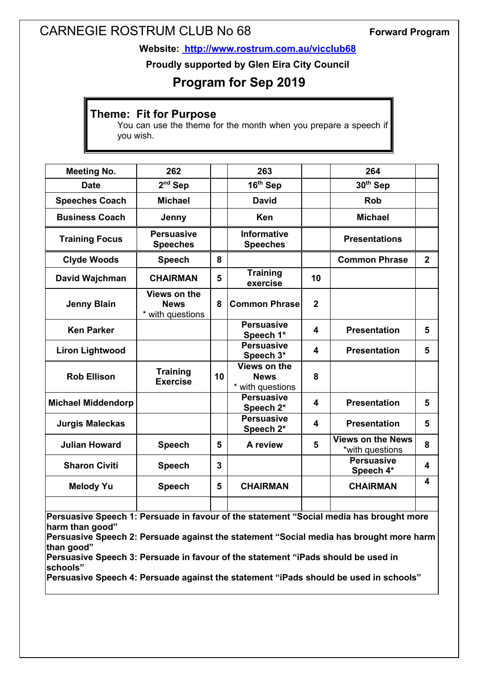# CARNEGIE ROSTRUM CLUB No 68 **Forward Program**

**Website: http://www.rostrum.com.au/vicclub68**

**Proudly supported by Glen Eira City Council**

## **Program for Sep 2019**

### **Theme: Fit for Purpose**

You can use the theme for the month when you prepare a speech if you wish.

| <b>Meeting No.</b>        | 262                                             |                | 263                                             |                | 264                                         |                |
|---------------------------|-------------------------------------------------|----------------|-------------------------------------------------|----------------|---------------------------------------------|----------------|
| <b>Date</b>               | $2nd$ Sep                                       |                | $16th$ Sep                                      |                | 30 <sup>th</sup> Sep                        |                |
| <b>Speeches Coach</b>     | <b>Michael</b>                                  |                | David                                           |                | <b>Rob</b>                                  |                |
| <b>Business Coach</b>     | Jenny                                           |                | <b>Ken</b>                                      |                | <b>Michael</b>                              |                |
| <b>Training Focus</b>     | <b>Persuasive</b><br><b>Speeches</b>            |                | <b>Informative</b><br><b>Speeches</b>           |                | <b>Presentations</b>                        |                |
| <b>Clyde Woods</b>        | <b>Speech</b>                                   | 8              |                                                 |                | <b>Common Phrase</b>                        | $\overline{2}$ |
| David Wajchman            | <b>CHAIRMAN</b>                                 | 5              | <b>Training</b><br>exercise                     | 10             |                                             |                |
| <b>Jenny Blain</b>        | Views on the<br><b>News</b><br>* with questions | 8              | <b>Common Phrase</b>                            | $\overline{2}$ |                                             |                |
| <b>Ken Parker</b>         |                                                 |                | <b>Persuasive</b><br>Speech 1*                  | 4              | <b>Presentation</b>                         | 5              |
| <b>Liron Lightwood</b>    |                                                 |                | <b>Persuasive</b><br>Speech 3*                  | 4              | <b>Presentation</b>                         | 5              |
| <b>Rob Ellison</b>        | <b>Training</b><br><b>Exercise</b>              | 10             | Views on the<br><b>News</b><br>* with questions | 8              |                                             |                |
| <b>Michael Middendorp</b> |                                                 |                | <b>Persuasive</b><br>Speech 2*                  | 4              | <b>Presentation</b>                         | 5              |
| <b>Jurgis Maleckas</b>    |                                                 |                | <b>Persuasive</b><br>Speech 2*                  | 4              | <b>Presentation</b>                         | 5              |
| <b>Julian Howard</b>      | <b>Speech</b>                                   | 5              | A review                                        | 5              | <b>Views on the News</b><br>*with questions | 8              |
| <b>Sharon Civiti</b>      | <b>Speech</b>                                   | $\overline{3}$ |                                                 |                | <b>Persuasive</b><br>Speech 4*              | 4              |
| <b>Melody Yu</b>          | <b>Speech</b>                                   | 5              | <b>CHAIRMAN</b>                                 |                | <b>CHAIRMAN</b>                             | 4              |
|                           |                                                 |                |                                                 |                |                                             |                |

**Persuasive Speech 1: Persuade in favour of the statement "Social media has brought more harm than good"**

**Persuasive Speech 2: Persuade against the statement "Social media has brought more harm than good"**

**Persuasive Speech 3: Persuade in favour of the statement "iPads should be used in schools"**

**Persuasive Speech 4: Persuade against the statement "iPads should be used in schools"**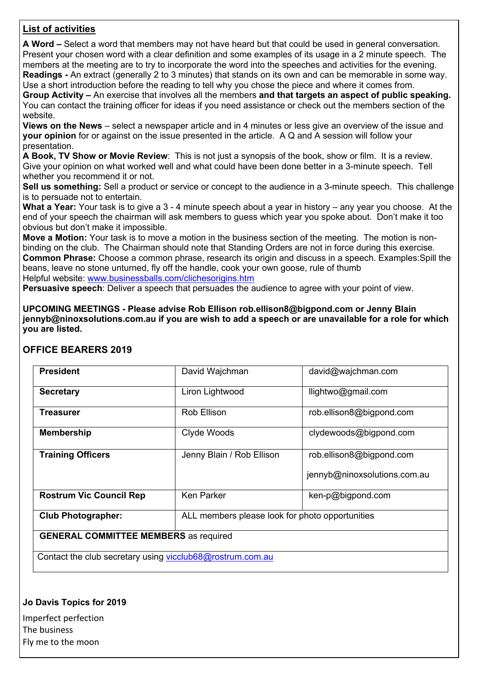### **List of activities**

**A Word –** Select a word that members may not have heard but that could be used in general conversation. Present your chosen word with a clear definition and some examples of its usage in a 2 minute speech. The members at the meeting are to try to incorporate the word into the speeches and activities for the evening. **Readings -** An extract (generally 2 to 3 minutes) that stands on its own and can be memorable in some way. Use a short introduction before the reading to tell why you chose the piece and where it comes from.

**Group Activity –** An exercise that involves all the members **and that targets an aspect of public speaking.**  You can contact the training officer for ideas if you need assistance or check out the members section of the website.

**Views on the News** – select a newspaper article and in 4 minutes or less give an overview of the issue and **your opinion** for or against on the issue presented in the article. A Q and A session will follow your presentation.

**A Book, TV Show or Movie Review**: This is not just a synopsis of the book, show or film. It is a review. Give your opinion on what worked well and what could have been done better in a 3-minute speech. Tell whether you recommend it or not.

**Sell us something:** Sell a product or service or concept to the audience in a 3-minute speech. This challenge is to persuade not to entertain.

**What a Year:** Your task is to give a 3 - 4 minute speech about a year in history – any year you choose. At the end of your speech the chairman will ask members to guess which year you spoke about. Don't make it too obvious but don't make it impossible.

**Move a Motion:** Your task is to move a motion in the business section of the meeting. The motion is nonbinding on the club. The Chairman should note that Standing Orders are not in force during this exercise. **Common Phrase:** Choose a common phrase, research its origin and discuss in a speech. Examples:Spill the beans, leave no stone unturned, fly off the handle, cook your own goose, rule of thumb Helpful website: www.businessballs.com/clichesorigins.htm

**Persuasive speech**: Deliver a speech that persuades the audience to agree with your point of view.

**UPCOMING MEETINGS - Please advise Rob Ellison rob.ellison8@bigpond.com or Jenny Blain jennyb@ninoxsolutions.com.au if you are wish to add a speech or are unavailable for a role for which you are listed.**

#### **OFFICE BEARERS 2019**

| <b>President</b>                                          | David Wajchman                                  | david@wajchman.com           |  |  |  |
|-----------------------------------------------------------|-------------------------------------------------|------------------------------|--|--|--|
| <b>Secretary</b>                                          | Liron Lightwood                                 | llightwo@gmail.com           |  |  |  |
| <b>Treasurer</b>                                          | Rob Ellison                                     | rob.ellison8@bigpond.com     |  |  |  |
| <b>Membership</b>                                         | Clyde Woods                                     | clydewoods@bigpond.com       |  |  |  |
| <b>Training Officers</b>                                  | Jenny Blain / Rob Ellison                       | rob.ellison8@bigpond.com     |  |  |  |
|                                                           |                                                 | jennyb@ninoxsolutions.com.au |  |  |  |
| <b>Rostrum Vic Council Rep</b>                            | <b>Ken Parker</b>                               | ken-p@bigpond.com            |  |  |  |
| <b>Club Photographer:</b>                                 | ALL members please look for photo opportunities |                              |  |  |  |
| <b>GENERAL COMMITTEE MEMBERS</b> as required              |                                                 |                              |  |  |  |
| Contact the club secretary using vicclub68@rostrum.com.au |                                                 |                              |  |  |  |

#### **Jo Davis Topics for 2019**

Imperfect perfection The business Fly me to the moon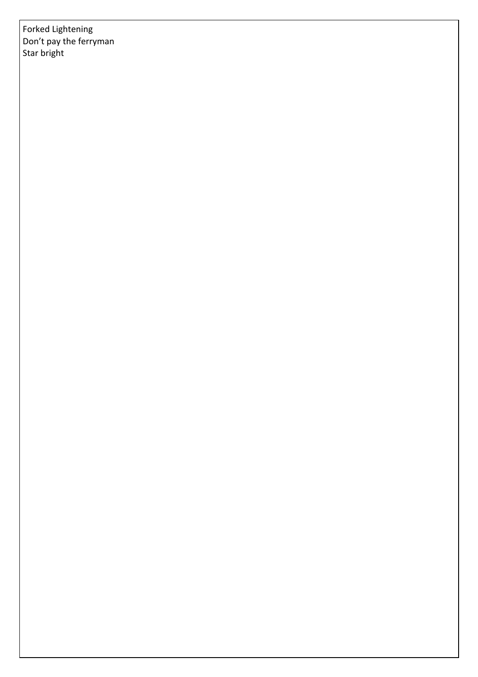Forked Lightening Don't pay the ferryman Star bright